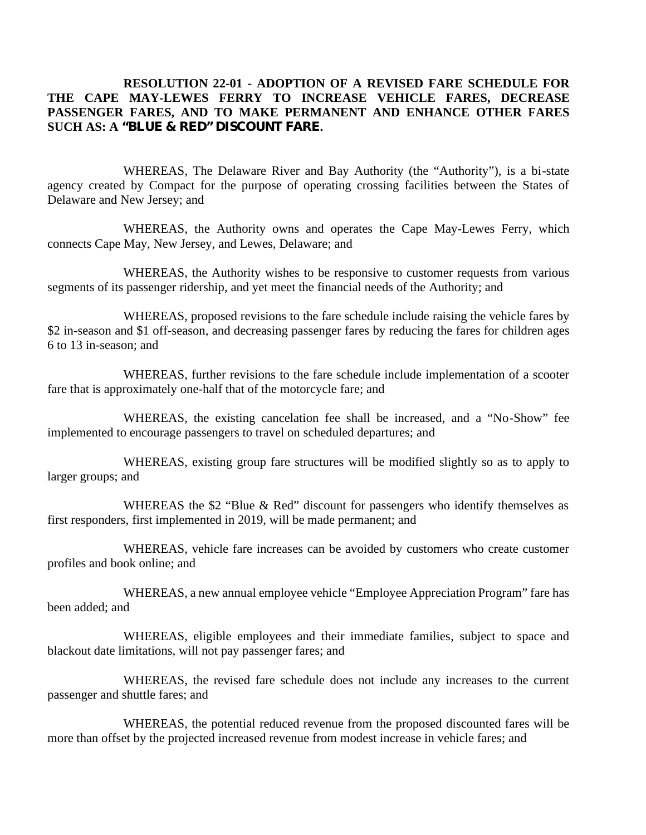# **RESOLUTION 22-01 - ADOPTION OF A REVISED FARE SCHEDULE FOR THE CAPE MAY-LEWES FERRY TO INCREASE VEHICLE FARES, DECREASE PASSENGER FARES, AND TO MAKE PERMANENT AND ENHANCE OTHER FARES SUCH AS: A "BLUE & RED" DISCOUNT FARE.**

WHEREAS, The Delaware River and Bay Authority (the "Authority"), is a bi-state agency created by Compact for the purpose of operating crossing facilities between the States of Delaware and New Jersey; and

WHEREAS, the Authority owns and operates the Cape May-Lewes Ferry, which connects Cape May, New Jersey, and Lewes, Delaware; and

WHEREAS, the Authority wishes to be responsive to customer requests from various segments of its passenger ridership, and yet meet the financial needs of the Authority; and

WHEREAS, proposed revisions to the fare schedule include raising the vehicle fares by \$2 in-season and \$1 off-season, and decreasing passenger fares by reducing the fares for children ages 6 to 13 in-season; and

WHEREAS, further revisions to the fare schedule include implementation of a scooter fare that is approximately one-half that of the motorcycle fare; and

WHEREAS, the existing cancelation fee shall be increased, and a "No-Show" fee implemented to encourage passengers to travel on scheduled departures; and

WHEREAS, existing group fare structures will be modified slightly so as to apply to larger groups; and

WHEREAS the \$2 "Blue & Red" discount for passengers who identify themselves as first responders, first implemented in 2019, will be made permanent; and

WHEREAS, vehicle fare increases can be avoided by customers who create customer profiles and book online; and

WHEREAS, a new annual employee vehicle "Employee Appreciation Program" fare has been added; and

WHEREAS, eligible employees and their immediate families, subject to space and blackout date limitations, will not pay passenger fares; and

WHEREAS, the revised fare schedule does not include any increases to the current passenger and shuttle fares; and

WHEREAS, the potential reduced revenue from the proposed discounted fares will be more than offset by the projected increased revenue from modest increase in vehicle fares; and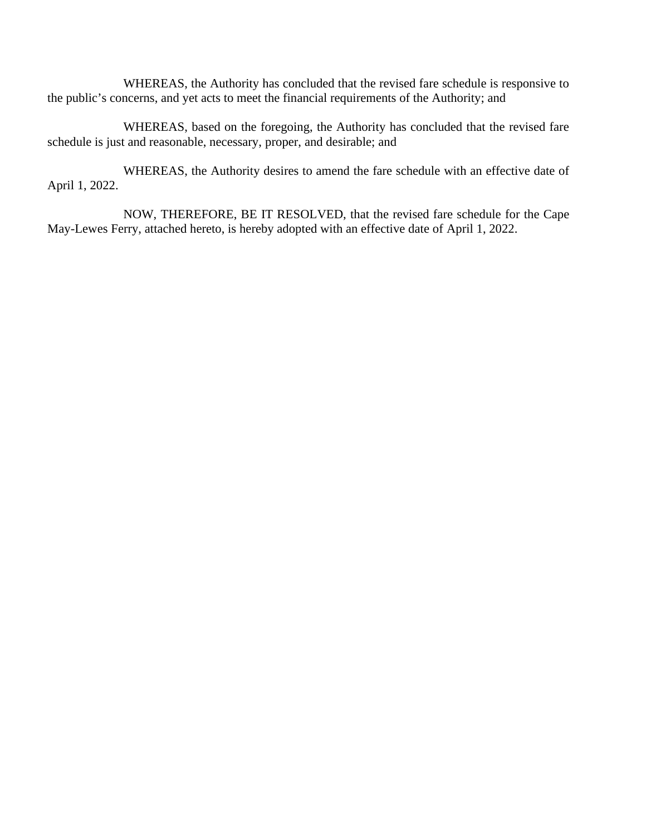WHEREAS, the Authority has concluded that the revised fare schedule is responsive to the public's concerns, and yet acts to meet the financial requirements of the Authority; and

WHEREAS, based on the foregoing, the Authority has concluded that the revised fare schedule is just and reasonable, necessary, proper, and desirable; and

WHEREAS, the Authority desires to amend the fare schedule with an effective date of April 1, 2022.

NOW, THEREFORE, BE IT RESOLVED, that the revised fare schedule for the Cape May-Lewes Ferry, attached hereto, is hereby adopted with an effective date of April 1, 2022.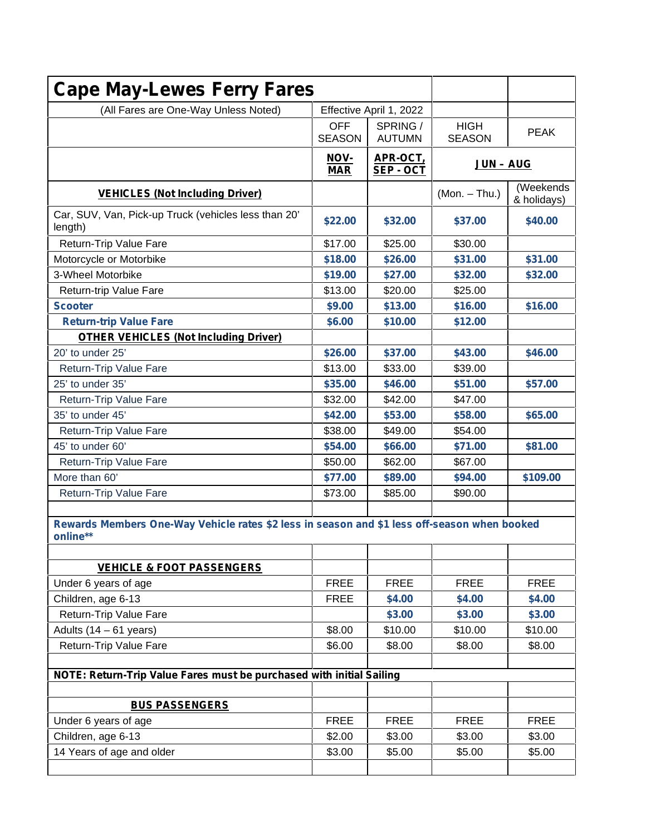| <b>Cape May-Lewes Ferry Fares</b>                                                                        |                                                    |                           |                              |                          |
|----------------------------------------------------------------------------------------------------------|----------------------------------------------------|---------------------------|------------------------------|--------------------------|
| (All Fares are One-Way Unless Noted)                                                                     |                                                    | Effective April 1, 2022   |                              |                          |
|                                                                                                          | <b>OFF</b><br><b>SEASON</b>                        | SPRING /<br><b>AUTUMN</b> | <b>HIGH</b><br><b>SEASON</b> | <b>PEAK</b>              |
|                                                                                                          | NOV-<br>APR-OCT,<br><b>MAR</b><br><b>SEP - OCT</b> |                           | <b>JUN - AUG</b>             |                          |
| <b>VEHICLES (Not Including Driver)</b>                                                                   |                                                    |                           | $(Mon. - Thu.)$              | (Weekends<br>& holidays) |
| Car, SUV, Van, Pick-up Truck (vehicles less than 20'<br>length)                                          | \$22.00                                            | \$32.00                   | \$37.00                      | \$40.00                  |
| Return-Trip Value Fare                                                                                   | \$17.00                                            | \$25.00                   | \$30.00                      |                          |
| Motorcycle or Motorbike                                                                                  | \$18.00                                            | \$26.00                   | \$31.00                      | \$31.00                  |
| 3-Wheel Motorbike                                                                                        | \$19.00                                            | \$27.00                   | \$32.00                      | \$32.00                  |
| Return-trip Value Fare                                                                                   | \$13.00                                            | \$20.00                   | \$25.00                      |                          |
| <b>Scooter</b>                                                                                           | \$9.00                                             | \$13.00                   | \$16.00                      | \$16.00                  |
| <b>Return-trip Value Fare</b>                                                                            | \$6.00                                             | \$10.00                   | \$12.00                      |                          |
| <b>OTHER VEHICLES (Not Including Driver)</b>                                                             |                                                    |                           |                              |                          |
| 20' to under 25'                                                                                         | \$26.00                                            | \$37.00                   | \$43.00                      | \$46.00                  |
| Return-Trip Value Fare                                                                                   | \$13.00                                            | \$33.00                   | \$39.00                      |                          |
| 25' to under 35'                                                                                         | \$35.00                                            | \$46.00                   | \$51.00                      | \$57.00                  |
| Return-Trip Value Fare                                                                                   | \$32.00                                            | \$42.00                   | \$47.00                      |                          |
| 35' to under 45'                                                                                         | \$42.00                                            | \$53.00                   | \$58.00                      | \$65.00                  |
| Return-Trip Value Fare                                                                                   | \$38.00                                            | \$49.00                   | \$54.00                      |                          |
| 45' to under 60'                                                                                         | \$54.00                                            | \$66.00                   | \$71.00                      | \$81.00                  |
| Return-Trip Value Fare                                                                                   | \$50.00                                            | \$62.00                   | \$67.00                      |                          |
| More than 60'                                                                                            | \$77.00                                            | \$89.00                   | \$94.00                      | \$109.00                 |
| Return-Trip Value Fare                                                                                   | \$73.00                                            | \$85.00                   | \$90.00                      |                          |
| Rewards Members One-Way Vehicle rates \$2 less in season and \$1 less off-season when booked<br>online** |                                                    |                           |                              |                          |
| <b>VEHICLE &amp; FOOT PASSENGERS</b>                                                                     |                                                    |                           |                              |                          |
| Under 6 years of age                                                                                     | <b>FREE</b>                                        | <b>FREE</b>               | <b>FREE</b>                  | <b>FREE</b>              |
| Children, age 6-13                                                                                       | <b>FREE</b>                                        | \$4.00                    | \$4.00                       | \$4.00                   |
| Return-Trip Value Fare                                                                                   |                                                    | \$3.00                    | \$3.00                       | \$3.00                   |
| Adults $(14 - 61$ years)                                                                                 | \$8.00                                             | \$10.00                   | \$10.00                      | \$10.00                  |
| Return-Trip Value Fare                                                                                   | \$6.00                                             | \$8.00                    | \$8.00                       | \$8.00                   |
| NOTE: Return-Trip Value Fares must be purchased with initial Sailing                                     |                                                    |                           |                              |                          |
| <b>BUS PASSENGERS</b>                                                                                    |                                                    |                           |                              |                          |
| Under 6 years of age                                                                                     | <b>FREE</b>                                        | <b>FREE</b>               | <b>FREE</b>                  | <b>FREE</b>              |
| Children, age 6-13                                                                                       | \$2.00                                             | \$3.00                    | \$3.00                       | \$3.00                   |
| 14 Years of age and older                                                                                | \$3.00                                             | \$5.00                    | \$5.00                       | \$5.00                   |
|                                                                                                          |                                                    |                           |                              |                          |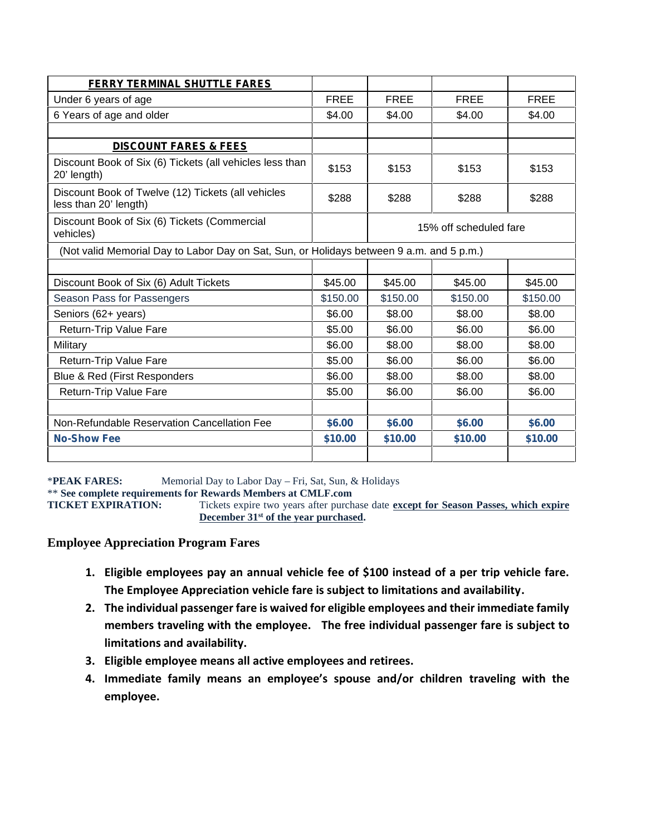| Under 6 years of age                                                                     |             |                        |             |             |
|------------------------------------------------------------------------------------------|-------------|------------------------|-------------|-------------|
|                                                                                          | <b>FREE</b> | <b>FREE</b>            | <b>FREE</b> | <b>FREE</b> |
| 6 Years of age and older                                                                 | \$4.00      | \$4.00                 | \$4.00      | \$4.00      |
|                                                                                          |             |                        |             |             |
| <b>DISCOUNT FARES &amp; FEES</b>                                                         |             |                        |             |             |
| Discount Book of Six (6) Tickets (all vehicles less than<br>20' length)                  | \$153       | \$153                  | \$153       | \$153       |
| Discount Book of Twelve (12) Tickets (all vehicles<br>less than 20' length)              | \$288       | \$288                  | \$288       | \$288       |
| Discount Book of Six (6) Tickets (Commercial<br>vehicles)                                |             | 15% off scheduled fare |             |             |
| (Not valid Memorial Day to Labor Day on Sat, Sun, or Holidays between 9 a.m. and 5 p.m.) |             |                        |             |             |
|                                                                                          |             |                        |             |             |
| Discount Book of Six (6) Adult Tickets                                                   | \$45.00     | \$45.00                | \$45.00     | \$45.00     |
| Season Pass for Passengers                                                               | \$150.00    | \$150.00               | \$150.00    | \$150.00    |
| Seniors (62+ years)                                                                      | \$6.00      | \$8.00                 | \$8.00      | \$8.00      |
| Return-Trip Value Fare                                                                   | \$5.00      | \$6.00                 | \$6.00      | \$6.00      |
| Military                                                                                 | \$6.00      | \$8.00                 | \$8.00      | \$8.00      |
| Return-Trip Value Fare                                                                   | \$5.00      | \$6.00                 | \$6.00      | \$6.00      |
| Blue & Red (First Responders                                                             | \$6.00      | \$8.00                 | \$8.00      | \$8.00      |
| Return-Trip Value Fare                                                                   | \$5.00      | \$6.00                 | \$6.00      | \$6.00      |
| Non-Refundable Reservation Cancellation Fee                                              | \$6.00      | \$6.00                 | \$6.00      | \$6.00      |
| <b>No-Show Fee</b>                                                                       | \$10.00     | \$10.00                | \$10.00     | \$10.00     |

\***PEAK FARES:** Memorial Day to Labor Day – Fri, Sat, Sun, & Holidays

\*\* **See complete requirements for Rewards Members at CMLF.com**

Tickets expire two years after purchase date **except for Season Passes, which expire December 31st of the year purchased.**

# **Employee Appreciation Program Fares**

- **1. Eligible employees pay an annual vehicle fee of \$100 instead of a per trip vehicle fare. The Employee Appreciation vehicle fare is subject to limitations and availability.**
- **2. The individual passenger fare is waived for eligible employees and their immediate family members traveling with the employee. The free individual passenger fare is subject to limitations and availability.**
- **3. Eligible employee means all active employees and retirees.**
- **4. Immediate family means an employee's spouse and/or children traveling with the employee.**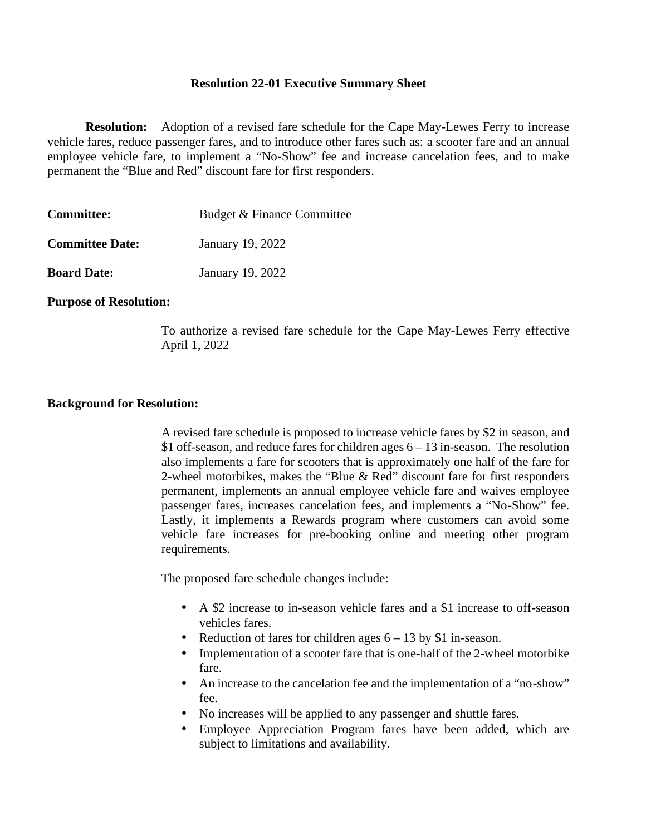## **Resolution 22-01 Executive Summary Sheet**

**Resolution:** Adoption of a revised fare schedule for the Cape May-Lewes Ferry to increase vehicle fares, reduce passenger fares, and to introduce other fares such as: a scooter fare and an annual employee vehicle fare, to implement a "No-Show" fee and increase cancelation fees, and to make permanent the "Blue and Red" discount fare for first responders.

| <b>Committee:</b>      | Budget & Finance Committee |
|------------------------|----------------------------|
| <b>Committee Date:</b> | January 19, 2022           |
| <b>Board Date:</b>     | January 19, 2022           |

## **Purpose of Resolution:**

To authorize a revised fare schedule for the Cape May-Lewes Ferry effective April 1, 2022

## **Background for Resolution:**

A revised fare schedule is proposed to increase vehicle fares by \$2 in season, and \$1 off-season, and reduce fares for children ages 6 – 13 in-season. The resolution also implements a fare for scooters that is approximately one half of the fare for 2-wheel motorbikes, makes the "Blue & Red" discount fare for first responders permanent, implements an annual employee vehicle fare and waives employee passenger fares, increases cancelation fees, and implements a "No-Show" fee. Lastly, it implements a Rewards program where customers can avoid some vehicle fare increases for pre-booking online and meeting other program requirements.

The proposed fare schedule changes include:

- A \$2 increase to in-season vehicle fares and a \$1 increase to off-season vehicles fares.
- Reduction of fares for children ages  $6 13$  by \$1 in-season.
- Implementation of a scooter fare that is one-half of the 2-wheel motorbike fare.
- An increase to the cancelation fee and the implementation of a "no-show" fee.
- No increases will be applied to any passenger and shuttle fares.
- Employee Appreciation Program fares have been added, which are subject to limitations and availability.